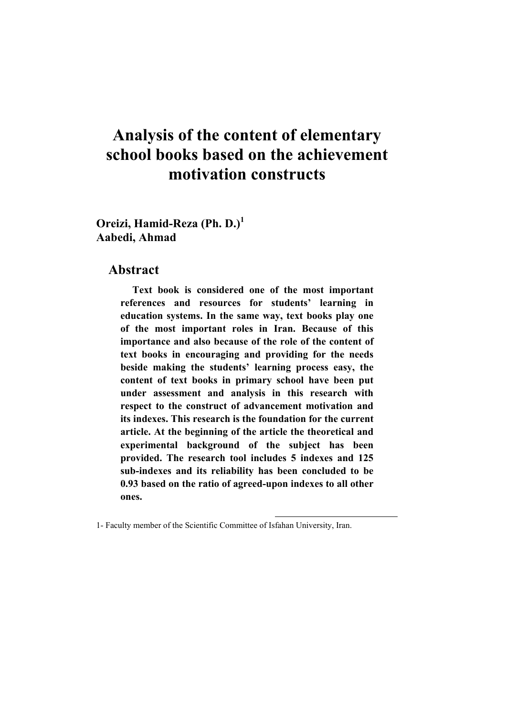# **Analysis of the content of elementary school books based on the achievement motivation constructs**

**Oreizi, Hamid-Reza (Ph. D.)<sup>1</sup> Aabedi, Ahmad** 

#### **Abstract**

**Text book is considered one of the most important references and resources for students' learning in education systems. In the same way, text books play one of the most important roles in Iran. Because of this importance and also because of the role of the content of text books in encouraging and providing for the needs beside making the students' learning process easy, the content of text books in primary school have been put under assessment and analysis in this research with respect to the construct of advancement motivation and its indexes. This research is the foundation for the current article. At the beginning of the article the theoretical and experimental background of the subject has been provided. The research tool includes 5 indexes and 125 sub-indexes and its reliability has been concluded to be 0.93 based on the ratio of agreed-upon indexes to all other ones.** 

 $\overline{a}$ 

<sup>1-</sup> Faculty member of the Scientific Committee of Isfahan University, Iran.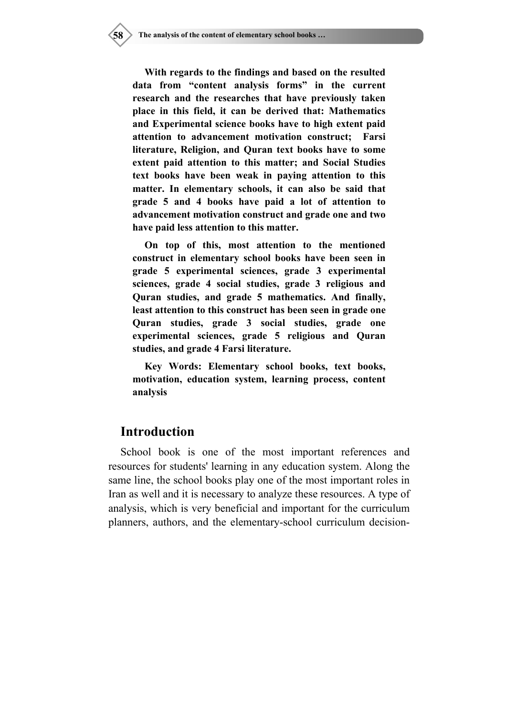**With regards to the findings and based on the resulted data from "content analysis forms" in the current research and the researches that have previously taken place in this field, it can be derived that: Mathematics and Experimental science books have to high extent paid attention to advancement motivation construct; Farsi literature, Religion, and Quran text books have to some extent paid attention to this matter; and Social Studies text books have been weak in paying attention to this matter. In elementary schools, it can also be said that grade 5 and 4 books have paid a lot of attention to advancement motivation construct and grade one and two have paid less attention to this matter.** 

**On top of this, most attention to the mentioned construct in elementary school books have been seen in grade 5 experimental sciences, grade 3 experimental sciences, grade 4 social studies, grade 3 religious and Quran studies, and grade 5 mathematics. And finally, least attention to this construct has been seen in grade one Quran studies, grade 3 social studies, grade one experimental sciences, grade 5 religious and Quran studies, and grade 4 Farsi literature.** 

**Key Words: Elementary school books, text books, motivation, education system, learning process, content analysis** 

#### **Introduction**

School book is one of the most important references and resources for students' learning in any education system. Along the same line, the school books play one of the most important roles in Iran as well and it is necessary to analyze these resources. A type of analysis, which is very beneficial and important for the curriculum planners, authors, and the elementary-school curriculum decision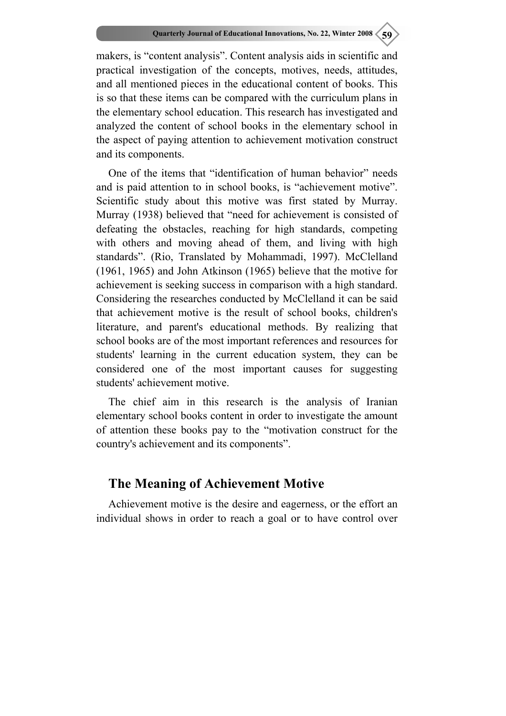makers, is "content analysis". Content analysis aids in scientific and practical investigation of the concepts, motives, needs, attitudes, and all mentioned pieces in the educational content of books. This is so that these items can be compared with the curriculum plans in the elementary school education. This research has investigated and analyzed the content of school books in the elementary school in the aspect of paying attention to achievement motivation construct and its components.

One of the items that "identification of human behavior" needs and is paid attention to in school books, is "achievement motive". Scientific study about this motive was first stated by Murray. Murray (1938) believed that "need for achievement is consisted of defeating the obstacles, reaching for high standards, competing with others and moving ahead of them, and living with high standards". (Rio, Translated by Mohammadi, 1997). McClelland (1961, 1965) and John Atkinson (1965) believe that the motive for achievement is seeking success in comparison with a high standard. Considering the researches conducted by McClelland it can be said that achievement motive is the result of school books, children's literature, and parent's educational methods. By realizing that school books are of the most important references and resources for students' learning in the current education system, they can be considered one of the most important causes for suggesting students' achievement motive.

The chief aim in this research is the analysis of Iranian elementary school books content in order to investigate the amount of attention these books pay to the "motivation construct for the country's achievement and its components".

## **The Meaning of Achievement Motive**

Achievement motive is the desire and eagerness, or the effort an individual shows in order to reach a goal or to have control over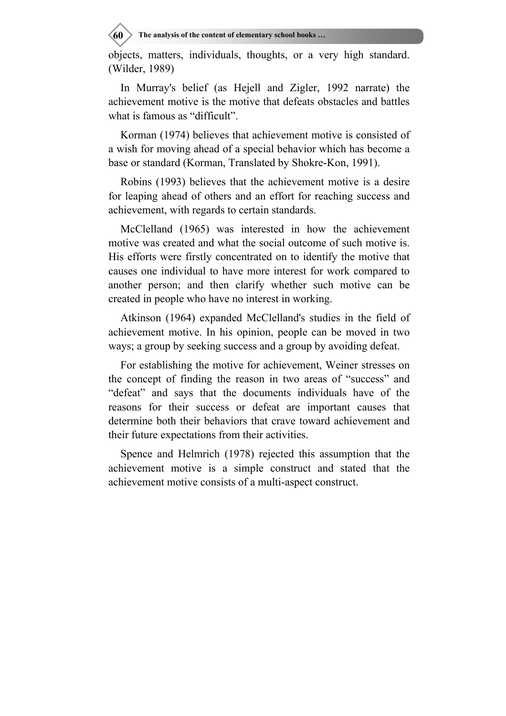**60** The analysis of the content of elementary school books ...

objects, matters, individuals, thoughts, or a very high standard. (Wilder, 1989)

In Murray's belief (as Hejell and Zigler, 1992 narrate) the achievement motive is the motive that defeats obstacles and battles what is famous as "difficult".

Korman (1974) believes that achievement motive is consisted of a wish for moving ahead of a special behavior which has become a base or standard (Korman, Translated by Shokre-Kon, 1991).

Robins (1993) believes that the achievement motive is a desire for leaping ahead of others and an effort for reaching success and achievement, with regards to certain standards.

McClelland (1965) was interested in how the achievement motive was created and what the social outcome of such motive is. His efforts were firstly concentrated on to identify the motive that causes one individual to have more interest for work compared to another person; and then clarify whether such motive can be created in people who have no interest in working.

Atkinson (1964) expanded McClelland's studies in the field of achievement motive. In his opinion, people can be moved in two ways; a group by seeking success and a group by avoiding defeat.

For establishing the motive for achievement, Weiner stresses on the concept of finding the reason in two areas of "success" and "defeat" and says that the documents individuals have of the reasons for their success or defeat are important causes that determine both their behaviors that crave toward achievement and their future expectations from their activities.

Spence and Helmrich (1978) rejected this assumption that the achievement motive is a simple construct and stated that the achievement motive consists of a multi-aspect construct.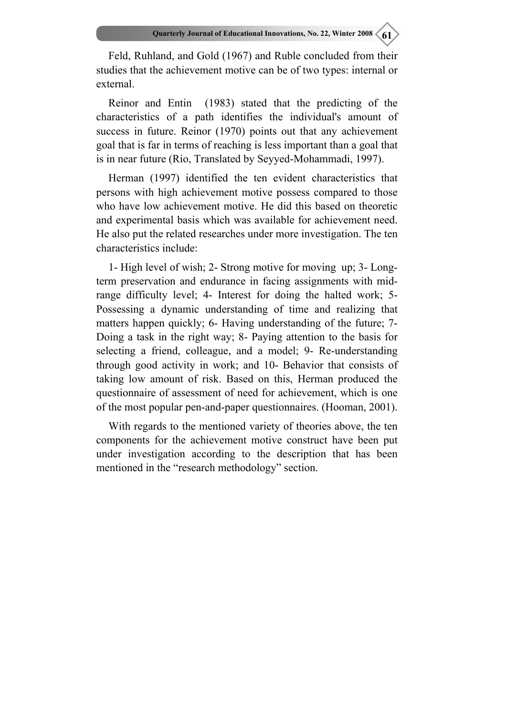Feld, Ruhland, and Gold (1967) and Ruble concluded from their studies that the achievement motive can be of two types: internal or external.

Reinor and Entin (1983) stated that the predicting of the characteristics of a path identifies the individual's amount of success in future. Reinor (1970) points out that any achievement goal that is far in terms of reaching is less important than a goal that is in near future (Rio, Translated by Seyyed-Mohammadi, 1997).

Herman (1997) identified the ten evident characteristics that persons with high achievement motive possess compared to those who have low achievement motive. He did this based on theoretic and experimental basis which was available for achievement need. He also put the related researches under more investigation. The ten characteristics include:

1- High level of wish; 2- Strong motive for moving up; 3- Longterm preservation and endurance in facing assignments with midrange difficulty level; 4- Interest for doing the halted work; 5- Possessing a dynamic understanding of time and realizing that matters happen quickly; 6- Having understanding of the future; 7- Doing a task in the right way; 8- Paying attention to the basis for selecting a friend, colleague, and a model; 9- Re-understanding through good activity in work; and 10- Behavior that consists of taking low amount of risk. Based on this, Herman produced the questionnaire of assessment of need for achievement, which is one of the most popular pen-and-paper questionnaires. (Hooman, 2001).

With regards to the mentioned variety of theories above, the ten components for the achievement motive construct have been put under investigation according to the description that has been mentioned in the "research methodology" section.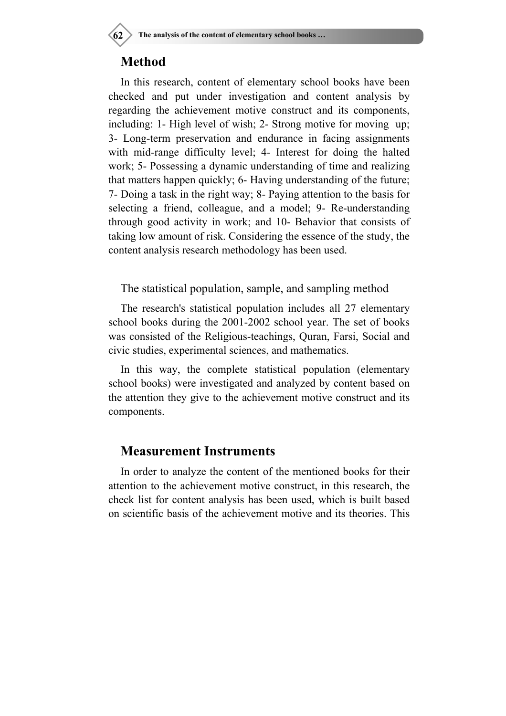## **Method**

In this research, content of elementary school books have been checked and put under investigation and content analysis by regarding the achievement motive construct and its components, including: 1- High level of wish; 2- Strong motive for moving up; 3- Long-term preservation and endurance in facing assignments with mid-range difficulty level; 4- Interest for doing the halted work; 5- Possessing a dynamic understanding of time and realizing that matters happen quickly; 6- Having understanding of the future; 7- Doing a task in the right way; 8- Paying attention to the basis for selecting a friend, colleague, and a model; 9- Re-understanding through good activity in work; and 10- Behavior that consists of taking low amount of risk. Considering the essence of the study, the content analysis research methodology has been used.

The statistical population, sample, and sampling method

The research's statistical population includes all 27 elementary school books during the 2001-2002 school year. The set of books was consisted of the Religious-teachings, Quran, Farsi, Social and civic studies, experimental sciences, and mathematics.

In this way, the complete statistical population (elementary school books) were investigated and analyzed by content based on the attention they give to the achievement motive construct and its components.

## **Measurement Instruments**

In order to analyze the content of the mentioned books for their attention to the achievement motive construct, in this research, the check list for content analysis has been used, which is built based on scientific basis of the achievement motive and its theories. This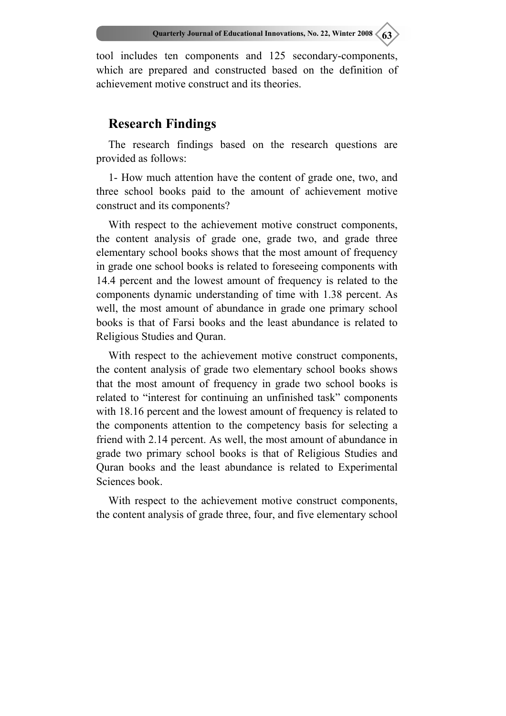tool includes ten components and 125 secondary-components, which are prepared and constructed based on the definition of achievement motive construct and its theories.

## **Research Findings**

The research findings based on the research questions are provided as follows:

1- How much attention have the content of grade one, two, and three school books paid to the amount of achievement motive construct and its components?

With respect to the achievement motive construct components, the content analysis of grade one, grade two, and grade three elementary school books shows that the most amount of frequency in grade one school books is related to foreseeing components with 14.4 percent and the lowest amount of frequency is related to the components dynamic understanding of time with 1.38 percent. As well, the most amount of abundance in grade one primary school books is that of Farsi books and the least abundance is related to Religious Studies and Quran.

With respect to the achievement motive construct components, the content analysis of grade two elementary school books shows that the most amount of frequency in grade two school books is related to "interest for continuing an unfinished task" components with 18.16 percent and the lowest amount of frequency is related to the components attention to the competency basis for selecting a friend with 2.14 percent. As well, the most amount of abundance in grade two primary school books is that of Religious Studies and Quran books and the least abundance is related to Experimental Sciences book.

With respect to the achievement motive construct components, the content analysis of grade three, four, and five elementary school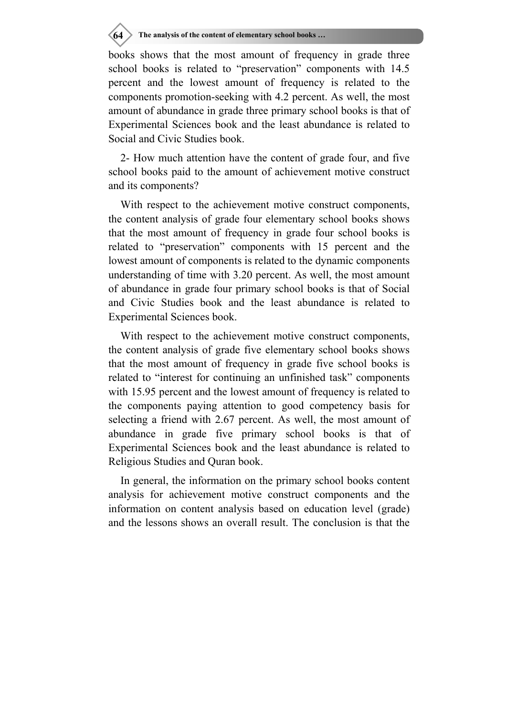## **64** The analysis of the content of elementary school books ...

books shows that the most amount of frequency in grade three school books is related to "preservation" components with 14.5 percent and the lowest amount of frequency is related to the components promotion-seeking with 4.2 percent. As well, the most amount of abundance in grade three primary school books is that of Experimental Sciences book and the least abundance is related to Social and Civic Studies book.

2- How much attention have the content of grade four, and five school books paid to the amount of achievement motive construct and its components?

With respect to the achievement motive construct components, the content analysis of grade four elementary school books shows that the most amount of frequency in grade four school books is related to "preservation" components with 15 percent and the lowest amount of components is related to the dynamic components understanding of time with 3.20 percent. As well, the most amount of abundance in grade four primary school books is that of Social and Civic Studies book and the least abundance is related to Experimental Sciences book.

With respect to the achievement motive construct components, the content analysis of grade five elementary school books shows that the most amount of frequency in grade five school books is related to "interest for continuing an unfinished task" components with 15.95 percent and the lowest amount of frequency is related to the components paying attention to good competency basis for selecting a friend with 2.67 percent. As well, the most amount of abundance in grade five primary school books is that of Experimental Sciences book and the least abundance is related to Religious Studies and Quran book.

In general, the information on the primary school books content analysis for achievement motive construct components and the information on content analysis based on education level (grade) and the lessons shows an overall result. The conclusion is that the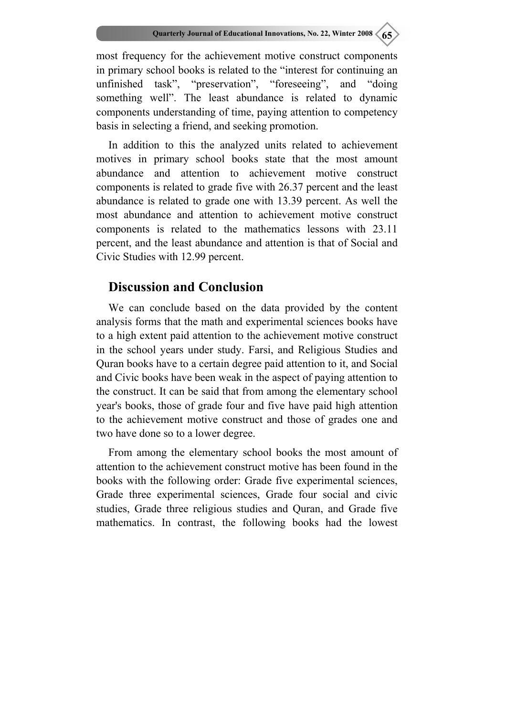most frequency for the achievement motive construct components in primary school books is related to the "interest for continuing an unfinished task", "preservation", "foreseeing", and "doing something well". The least abundance is related to dynamic components understanding of time, paying attention to competency basis in selecting a friend, and seeking promotion.

In addition to this the analyzed units related to achievement motives in primary school books state that the most amount abundance and attention to achievement motive construct components is related to grade five with 26.37 percent and the least abundance is related to grade one with 13.39 percent. As well the most abundance and attention to achievement motive construct components is related to the mathematics lessons with 23.11 percent, and the least abundance and attention is that of Social and Civic Studies with 12.99 percent.

#### **Discussion and Conclusion**

We can conclude based on the data provided by the content analysis forms that the math and experimental sciences books have to a high extent paid attention to the achievement motive construct in the school years under study. Farsi, and Religious Studies and Quran books have to a certain degree paid attention to it, and Social and Civic books have been weak in the aspect of paying attention to the construct. It can be said that from among the elementary school year's books, those of grade four and five have paid high attention to the achievement motive construct and those of grades one and two have done so to a lower degree.

From among the elementary school books the most amount of attention to the achievement construct motive has been found in the books with the following order: Grade five experimental sciences, Grade three experimental sciences, Grade four social and civic studies, Grade three religious studies and Quran, and Grade five mathematics. In contrast, the following books had the lowest